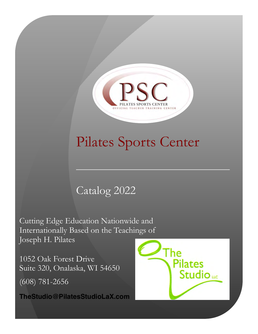

# Pilates Sports Center

# Catalog 2022

Cutting Edge Education Nationwide and Internationally Based on the Teachings of Joseph H. Pilates

1052 Oak Forest Drive Suite 320, Onalaska, WI 54650 (608) 781-2656

**TheStudio@PilatesStudioLaX.co[m](mailto:thestudio@pilatesstudiolax.com)**

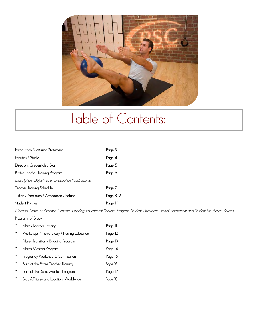

# Table of Contents:

| Introduction & Mission Statement                    | Page 3    |
|-----------------------------------------------------|-----------|
| Facilities / Studio                                 | Page 4    |
| Director's Credentials / Bios                       | Page 5    |
| Pilates Teacher Training Program                    | Page 6    |
| (Description, Objectives & Graduation Requirements) |           |
| Teacher Training Schedule                           | Page 7    |
| Tuition / Admission / Attendance / Refund           | Paae 8, 9 |
| <b>Student Policies</b>                             | Page IO   |

*(Conduct, Leave of Absence, Dismissal, Grading, Educational Services, Progress, Student Grievance, Sexual Harassment and Student File Access Policies)* **Programs of Study:** 

| Pilates Teacher Training                   | Page 11 |
|--------------------------------------------|---------|
| Workshops / Home Study / Hosting Education | Page 12 |
| Pilates Transition / Bridging Program      | Page 13 |
| Pilates Masters Program                    | Page 14 |
| Pregnancy Workshop & Certification         | Page 15 |
| Burn at the Barre Teacher Training         | Page 16 |
| Burn at the Barre Masters Program          | Page 17 |
| Bios, Affiliates and Locations Worldwide   | Page 18 |
|                                            |         |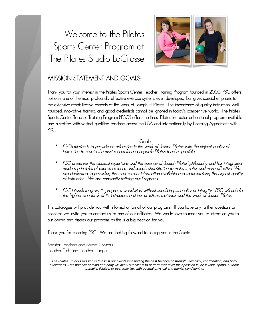# Welcome to the Pilates Sports Center Program at The Pilates Studio LaCrosse



### **MISSION STATEMENT AND GOALS:**

**Thank you for your interest in the Pilates Sports Center Teacher Training Program founded in 2000. PSC offers not only one of the most profoundly effective exercise systems ever developed, but gives special emphasis to the extensive rehabilitative aspects of the work of Joseph H. Pilates. The importance of quality instruction, wellrounded, innovative training, and good credentials cannot be ignored in today's competitive world. The Pilates Sports Center Teacher Training Program ("PSC") offers the finest Pilates instructor educational program available and is staffed with vetted, qualified teachers across the USA and Internationally by Licensing Agreement with PSC.** 

**Goals:** 

- *instruction to create the most successful and capable Pilates teacher possible.* • *PSC's mission is to provide an education in the work of Joseph Pilates with the highest quality of*
- *of instruction. We are constantly refining our Programs. are dedicated to providing the most current information available and to maintaining the highest quality modern principles of exercise science and spinal rehabilitation to make it safer and more effective. We* • *PSC preserves the classical repertoire and the essence of Joseph Pilates' philosophy and has integrated*
- *the highest standards of its instructors, business practices, materials and the work of Joseph Pilates.* • *PSC intends to grow its programs worldwide without sacrificing its quality or integrity. PSC will uphold*

**our Studio and discuss our program, as this is a big decision for you. concerns we invite you to contact us, or one of our affiliates. We would love to meet you to introduce you to This catalogue will provide you with information on all of our programs. If you have any further questions or**

**Thank you for choosing PSC. We are looking forward to seeing you in the Studio.**

Master Teachers and Studio Owners Heather Froh and Heather Happel

*pursuits, Pilates, or everyday life, with optimal physical and mental conditioning. awareness. This balance of mind and body will allow our clients to perform whatever their passion is, be it work, sports, outdoor The Pilates Studio*'*s mission is to assist our clients with finding the best balance of strength, flexibility, coordination, and body*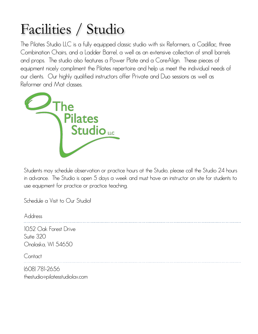# Facilities / Studio

Reformer and Mat classes. equipment nicely compliment the Pilates repertoire and help us meet the individual needs of and props. The studio also features a Power Plate and a CoreAlign. These pieces of The Pilates Studio LLC is a fully equipped classic studio with six Reformers, a Cadillac, three Combination Chairs, and a Ladder Barrel, a well as an extensive collection of small barrels our clients. Our highly qualified instructors offer Private and Duo sessions as well as



Students may schedule observation or practice hours at the Studio, please call the Studio 24 hours in advance. The Studio is open 5 days a week and must have an instructor on site for students to use equipment for practice or practice teaching.

Schedule a Visit to Our Studio!

Address 1052 Oak Forest Drive Suite 320 Onalaska, WI 54650 **Contact** 

(608) 781-2656 thestudio@pilatesstudiolax.co[m](mailto:TheStudio@PilatesStudioLaX.com)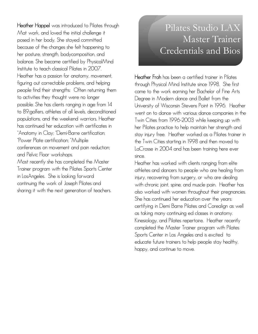Trainer program with the Pilates Sports Center Most recently she has completed the Master conferences on movement and pain reduction; \*Power Plate certification; \*Multiple \*Anatomy in Clay; \*Demi-Barre certification; has continued her education with certificates in populations, and the weekend warriors. Heather to 89;golfers, athletes of all levels, deconditioned possible. She has clients ranging in age from 14 to activities they thought were no longer people find their strengths: Often returning them figuring out correctable problems, and helping Heather has a passion for anatomy, movement, Institute to teach classical Pilates in 2007. balance. She became certified by PhysicalMind her posture, strength, bodycomposition, and because of the changes she felt happening to posed in her body. She stayed committed Mat work, and loved the initial challenge it **Heather Happel** was introduced to Pilates through and Pelvic Floor workshops.

sharing it with the next generation of teachers. continuing the work of Joseph Pilates and in LosAngeles. She is looking forward

# Pilates Studio LAX Master Trainer Credentials and Bios

**Heather Froh** has been a certified trainer in Pilates through Physical Mind Institute since 1998. She first came to the work earning her Bachelor of Fine Arts Degree in Modern dance and Ballet from the University of Wisconsin Stevens Point in 1996. Heather went on to dance with various dance companies in the Twin Cities from 1996-2003 while keeping up with her Pilates practice to help maintain her strength and stay injury free. Heather worked as a Pilates trainer in the Twin Cities starting in 1998 and then moved to LaCrosse in 2004 and has been training here ever since.

Heather has worked with clients ranging from elite athletes and dancers to people who are healing from injury, recovering from surgery, or who are dealing with chronic joint, spine, and muscle pain. Heather has also worked with women throughout their pregnancies. She has continued her education over the years: certifying in Demi Barre Pilates and Corealign as well as taking many continuing ed classes in anatomy. Kinesiology, and Pilates repertoire. Heather recently completed the Master Trainer program with Pilates Sports Center in Los Angeles and is excited to educate future trainers to help people stay healthy, happy, and continue to move.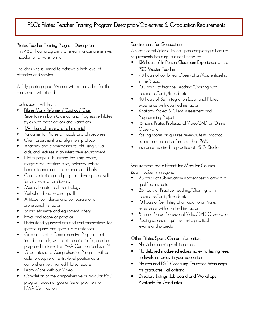### **PSC's Pilates Teacher Training Program Description/Objectives & Graduation Requirements**

#### **Pilates Teacher Training Program Description:**

modular, or private format. This 450+ hour program is offered in a comprehensive,

attention and service. The class size is limited to achieve a high level of

course you will attend. A fully photographic Manual will be provided for the

Each student will learn:

- styles with modifications and variations Repertoire in both Classical and Progressive Pilates • **Pilates Mat / Reformer / Cadillac / Chair**
- **15+ Hours of review of all material**
- Fundamental Pilates principals and philosophies
- Client assessment and alignment protocol
- aids, and lectures in an interactive environment • Anatomy and biomechanics taught using visual
- board, foam rollers, thera-bands and balls magic circle, rotating discs, balance/wobble • Pilates props skills utilizing the jump board,
- for any level of proficiency • Creative training and program development skills
- Medical anatomical terminology
- Verbal and tactile cueing skills
- professional instructor • Attitude, confidence and composure of a
- Studio etiquette and equipment safety
- Ethics and scope of practice
- specific injuries and special circumstances • Understanding indications and contraindications for
- prepared to take, the PMA Certification Exam™ includes barrels, will meet the criteria for, and be • Graduates of a Comprehensive Program that
- comprehensively trained Pilates teacher able to acquire an entry-level position as a • Graduates of a Comprehensive Program will be
- Learn More with our Video!
- PMA Certification. program does not *guarantee* employment or • Completion of the comprehensive or modular PSC

#### **Requirements for Graduation:**

requirements including, but not limited to: A Certificate/Diploma issued upon completing all course

- **PSC Master Teacher** • **136 hours of In Person Classroom Experience with a**
- in the Studio • 75 hours of combined Observation/Apprenticeship
- classmates/family/friends etc. • 100 hours of Practice Teaching/Charting with
- experience with qualified instructor) • 40 hours of Self Integration (additional Pilates
- Programming Project • Anatomy Project & Client Assessment and
- Observation • 15 hours Pilates Professional Video/DVD or Online
- exams and projects of no less than 76% • Passing scores on quizzes/reviews, tests, practical
- Insurance required to practice at PSC's Studio:

#### **Requirements are different for Modular Courses.**

*Each module will require:*

- qualified instructor • 25 hours of Observation/Apprenticeship of/with a
- classmates/family/friends etc. • 25 hours of Practice Teaching/Charting with
- experience with qualified instructor) • 10 hours of Self Integration (additional Pilates
- 5 hours Pilates Professional Video/DVD Observation
- exams and projects • Passing scores on quizzes, tests, practical

#### **Other Pilates Sports Center Information:**

- **No video learning all in person**
- **no levels, no delay in your education • No delayed module schedules, no extra testing fees,**
- **for graduates all optional • No required PSC Continuing Education Workshops**
- **Available for Graduates • Directory Listings, Job board and Workshops**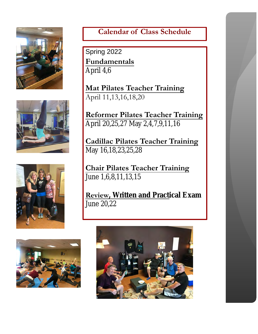

## **Calendar of Class Schedule**

April 4,6 **Fundamentals** Spring 2022

 **Mat Pilates Teacher Training** April 11,13,16,18,20

April 20,25,27 May 2,4,7,9,11,16 **Reformer Pilates Teacher Training**

May 16,18,23,25,28 **Cadillac Pilates Teacher Training**

June 1,6,8,11,13,15 **Chair Pilates Teacher Training**

June 20,22 **Review, Written and Practical Exam**







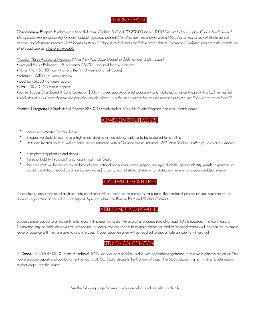#### TUITION / DEPOSIT

*of all requirements. Financing Availab[le](https://creditapply.paypal.com/apply?guid=ZM1LV5J9&assetId=PPCMICRO) practice and classmate practice, DVD loaning (with a CC deposit on file), and 1 (one) Assessment Based Certificate / Diploma upon successful completion photographic manual pertaining to each module(s) registered and paid for, class room lecture/lab with a PSC Master Trainer, use of Studio for self* **Comprehensive Program** (Fundamentals, Mat, Reformer, Cadillac, & Chair) **\$5,200.00** *(Minus \$500 Deposit to hold a spot) Course Fee Includes: 1*

Modular Pilates Apparatus Programs *(Minus Non Refundable Deposit of \$100 for any single module)*

- •Nuts and Bolts / Philosophy "Fundamentals" \$300 required for any program
- •Pilates Mat \$1050 (you will attend the first 3 weeks of a Full Course)
- •Reformer \$2100 6 weeks approx.
- •Cadillac \$1050 3 weeks approx.
- •Chair \$1050 2.5 weeks approx.

*Graduates of a A Comprehensive Program that includes Barrels, will the meet criteria for, and be prepared to take, the PMA Certification Exam™* •Barrels (Ladder/Small Barrel & Spine Corrector) \$300 - 1 week approx. offered separately as a workshop (or as certificate with a \$25 testing fee)

**Private Full Programs** 1-2 Students Full Program \$8,800.00 each student. Modular Private Programs also avail. Please inquire

ADMISSION REQUIREMENTS

- Meet with Master Teacher Trainer
- Prospective students must have a high school diploma or equivalency diploma to be accepted for enrollment
- 30+ documented hours of well-rounded Pilates instruction with a Qualified Pilates Instructor. *(PSC Host Studio will offer you a Student Discount)*
- Completed Application and deposit
- Personal Liability Insurance if practicing in your Host Studio
- sexual orientation, medical condition (cancer-related), ancestry, marital status, citizenship, or status as a veteran or special disabled veteran. • No applicant will be denied on the basis of race, national origin, color, creed, religion, sex, age, disability, gender identity, gender expression, or

#### ENROLLMENT PROCEDURES

application, payment of non-refundable deposit. Sign and submit the Release Form and Student Contract. Prospective students may enroll anytime. Late enrollments will be accepted on a case-by case basis. The enrollment process includes submission of an

#### ATTENDANCE REQUIREMENTS

leave of absence until they are able to return to class. Proper documentation will be required to substantiate a student's withdrawal. Completion may be held until class time is made up. Students who are unable to continue classes for medical/personal reasons will be required to take a Students are expected to arrive on time for class with proper materials. An overall attendance rate of at least 90% is required. The Certificate of

#### REFUND / CANCELLATION

 A **Deposit** of \$500.00 (\$100 is non refundable) *(\$100 for Mat or a Module)* is due with application/registration to reserve a place in the course.Your student drops from the course. non-refundable deposit and application entitle you to all PSC Studio discounts the first day of class. No Studio discounts given if tuition is refunded or

See the following page for exact details on refund and cancellation details.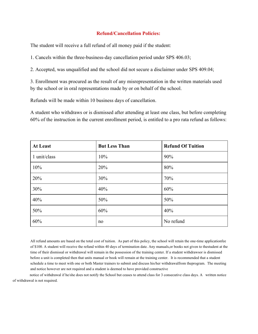#### **Refund/Cancellation Policies:**

The student will receive a full refund of all money paid if the student:

1. Cancels within the three-business-day cancellation period under SPS 406.03;

2. Accepted, was unqualified and the school did not secure a disclaimer under SPS 409.04;

by the school or in oral representations made by or on behalf of the school. 3. Enrollment was procured as the result of any misrepresentation in the written materials used

Refunds will be made within 10 business days of cancellation.

60% of the instruction in the current enrollment period, is entitled to a pro rata refund as follows: A student who withdraws or is dismissed after attending at least one class, but before completing

| <b>At Least</b> | <b>But Less Than</b> | <b>Refund Of Tuition</b> |
|-----------------|----------------------|--------------------------|
| 1 unit/class    | 10%                  | 90%                      |
| 10%             | 20%                  | 80%                      |
| 20%             | 30%                  | 70%                      |
| 30%             | 40%                  | 60%                      |
| 40%             | 50%                  | 50%                      |
| 50%             | 60%                  | 40%                      |
| 60%             | no                   | No refund                |

and notice however are not required and a student is deemed to have provided constructive schedule a time to meet with one or both Master trainers to submit and discuss his/her withdrawalfrom theprogram. The meeting before a unit is completed then that units manual or book will remain at the training center. It is recommended that a student time of their dismissal or withdrawal will remain in the possession of the training center. If a student withdrawsor is dismissed of \$100. A student will receive the refund within 40 days of termination date. Any manuals,or books not given to thestudent at the All refund amounts are based on the total cost of tuition. As part of this policy, the school will retain the one-time applicationfee

of withdrawal is not required. notice of withdrawal if he/she does not notify the School but ceases to attend class for 3 consecutive class days. A written notice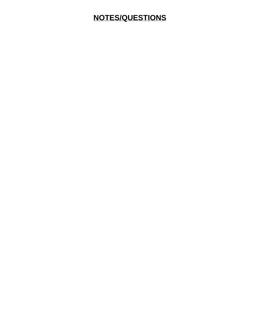### **NOTES/QUESTIONS**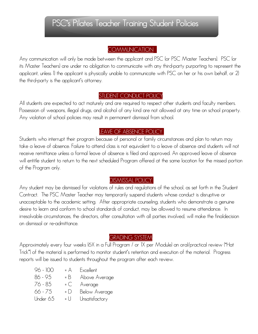## **PSC's Pilates Teacher Training Student Policies**

#### **COMMUNICATION**

the third-party is the applicant's attorney. applicant, unless 1) the applicant is physically unable to communicate with PSC on her or his own behalf, or 2) its Master Teachers) are under no obligation to communicate with any third-party purporting to represent the Any communication will only be made between the applicant and PSC (or PSC Master Teachers). PSC (or

### STUDENT CONDUCT POLICY

Any violation of school policies may result in permanent dismissal from school. Possession of weapons, illegal drugs, and alcohol of any kind are not allowed at any time on school property. All students are expected to act maturely and are required to respect other students and faculty members.

#### LEAVE OF ABSENCE POLICY

of the Program only. will entitle student to return to the next scheduled Program offered at the same location for the missed portion receive remittance unless a formal leave of absence is filed and approved. An approved leave of absence take a leave of absence. Failure to attend class is not equivalent to a leave of absence and students will not Students who interrupt their program because of personal or family circumstances and plan to return may

#### DISMISSAL POLICY

on dismissal or re-admittance. irresolvable circumstances, the directors, after consultation with all parties involved, will make the finaldecision desire to learn and conform to school standards of conduct, may be allowed to resume attendance. In unacceptable to the academic setting. After appropriate counseling, students who demonstrate a genuine Contract. The PSC Master Teacher may temporarily suspend students whose conduct is disruptive or Any student may be dismissed for violations of rules and regulations of the school, as set forth in the Student

#### GRADING SYSTEM

reports will be issued to students throughout the program after each review. Trick") of the material is performed to monitor student's retention and execution of the material. Progress Approximately every four weeks (6X in a Full Program / or 1X per Module) an oral/practical review ("Hat

| 96 - 100 | $= A$      | Excellent      |
|----------|------------|----------------|
| 86 - 95  | = B        | Above Average  |
| 76 - 85  | $= C$      | Average        |
| 66 - 75  | $=$ $\Box$ | Below Average  |
| Under 65 | = U        | Unsatisfactory |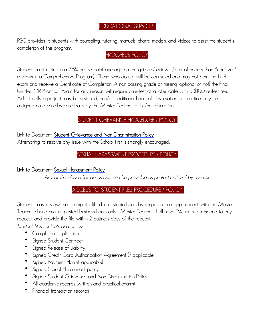#### EDUCATIONAL SERVICES

completion of the program. PSC provides its students with counseling, tutoring, manuals, charts, models, and videos to assist the student's

#### PROGRESS POLICY

assigned on a case-by-case basis by the Master Teacher at his/her discretion. Additionally a project may be assigned, and/or additional hours of observation or practice may be (written OR Practical) Exam for any reason will require a re-test at a later date with a \$100 re-test fee. exam and receive a Certificate of Completion. A non-passing grade or missing (optional or not) the Final reviews in a Comprehensive Program). Those who do not will be counseled and may not pass the final Students must maintain a 75% grade point average on the quizzes/reviews (Total of no less than 6 quizzes/

#### STUDENT GRIEVANCE PROCEDURE / POLICY

Attempting to resolve any issue with the School first is strongly encouraged. Link to Document: **[Student Grievance and Non Discrimination Policy](http://pilatessportscenter.com/training/pilates-teacher-training/psc-student-resources/)**

#### SEXUAL HARASSMENT PROCEDURE / POLICY

**Link to Document: [Sexual Harassment Policy](http://pilatessportscenter.com/training/pilates-teacher-training/psc-student-resources/)**

*Any of the above link documents can be provided as printed material by request.*

#### ACCESS TO STUDENT FILES PROCEDURE / POLICY

request, and provide the file within 2 business days of the request. Teacher during normal posted business hours only. Master Teacher shall have 24 hours to respond to any Students may review their complete file during studio hours by requesting an appointment with the Master

*Student files contents and access*

- Completed application
- Signed Student Contract
- Signed Release of Liability
- Signed Credit Card Authorization Agreement (if applicable)
- Signed Payment Plan (if applicable)
- Signed Sexual Harassment policy
- Signed Student Grievance and Non Discrimination Policy
- All academic records (written and practical exams)
- Financial transaction records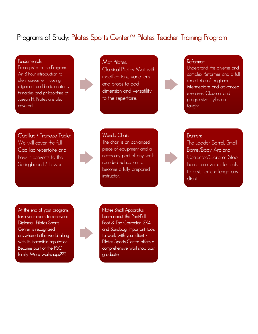### **Programs of Study: Pilates Sports Center™ Pilates Teacher Training Program**

#### **Fundamentals:**

Prerequisite to the Program.. An 8 hour introduction to client assessment,, cueing, alignment and basic anatomy. Principles and philosophies of Joseph H. Pilates are also covered.

#### **Mat Pilates:**

**Wunda Chair:** 

Classical Pilates Mat with modifications, variations and props to add dimension and versatility to the repertoire.

#### **Reformer:**

Understand the diverse and complex Reformer and a full repertoire of beginner, intermediate and advanced exercises. Classical and progressive styles are taught.

**Cadillac / Trapeze Table:**  We will cover the full Cadillac repertoire and how it converts to the Springboard / Tower

piece of equipment and a necessary part of any wellrounded education to become a fully prepared instructor.

The chair is an advanced

### **Barrels:**

The Ladder Barrel, Small Barrel/Baby Arc and Corrector/Clara or Step Barrel are valuable tools to assist or challenge any client

**At the end of your program, take your exam to receive a Diploma. Pilates Sports Center is recognized anywhere in the world along with its incredible reputation. Become part of the PSC family More workshops???**

![](_page_12_Picture_13.jpeg)

**Pilates Small Apparatus: Learn about the Pedi-Pull, Foot & Toe Corrector, 2X4 and Sandbag. Important tools to work with your client - Pilates Sports Center offers a comprehensive workshop post graduate.**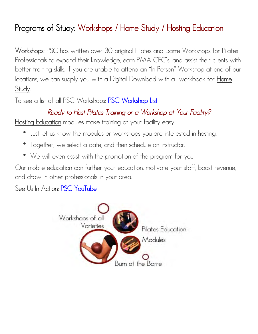# **Programs of Study: Workshops / Home Study / Hosting Education**

**Workshops:** PSC has written over 30 original Pilates and Barre Workshops for Pilates Professionals to expand their knowledge, earn PMA CEC's, and assist their clients with better training skills. If you are unable to attend an "In Person" Workshop at one of our locations, we can supply you with a Digital Download with a workbook for **Home Study**.

To see a list of all PSC Workshops: **[PSC Workshop List](http://pilatessportscenter.com/training/host-a-course-or-workshop/)**

### *Ready to Host Pilates Training or a Workshop at Your Facility?*

**Hosting Education** modules make training at your facility easy.

- Just let us know the modules or workshops you are interested in hosting.
- Together, we select a date, and then schedule an instructor.
- We will even assist with the promotion of the program for you.

Our mobile education can further your education, motivate your staff, boost revenue, and draw in other professionals in your area.

See Us In Action: **[PSC YouTube](https://www.youtube.com/user/PilatesSportsCenter)**

![](_page_13_Picture_10.jpeg)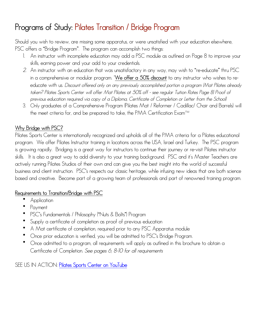# **Programs of Study: Pilates Transition / Bridge Program**

Should you wish to review, are missing some apparatus, or were unsatisfied with your education elsewhere, PSC offers a "Bridge Program". The program can accomplish two things:

- 1. An instructor with incomplete education may add a PSC module as outlined on Page 8 to improve your skills, earning power and your add to your credentials.
- *2.* An instructor with an education that was unsatisfactory in any way, may wish to "re-educate" thru PSC in a comprehensive or modular program. \***We offer a 50% discount** to any instructor who wishes to reeducate with us. *Discount offered only on any previously accomplished portion a program (Mat Pilates already taken? Pilates Sports Center will offer Mat Pilates at 50% off - see regular Tuition Rates Page 8) Proof of previous education required via copy of a Diploma, Certificate of Completion or Letter from the School)*
- 3. Only graduates of a Comprehensive Program (Pilates Mat / Reformer / Cadillac/ Chair and Barrels) will the meet criteria for, and be prepared to take, the PMA Certification Exam™

### **Why Bridge with PSC?**

Pilates Sports Center is internationally recognized and upholds all of the PMA criteria for a Pilates educational program. We offer Pilates Instructor training in locations across the USA, Israel and Turkey. The PSC program is growing rapidly. Bridging is a great way for instructors to continue their journey or re-visit Pilates instructor skills. It is also a great way to add diversity to your training background. PSC and it's Master Teachers are actively running Pilates Studios of their own and can give you the best insight into the world of successful business and client instruction. PSC's respects our classic heritage, while infusing new ideas that are both science based and creative. Become part of a growing team of professionals and part of renowned training program.

### **Requirements to Transition/Bridge with PSC**

- Application
- Payment
- PSC's Fundamentals / Philosophy ("Nuts & Bolts") Program
- Supply a certificate of completion as proof of previous education
- A Mat certificate of completion, required prior to any PSC Apparatus module
- Once prior education is verified, you will be admitted to PSC's Bridge Program.
- Once admitted to a program, all requirements will apply as outlined in this brochure to obtain a Certificate of Completion. *See pages 6, 8-10 for all requirements*

SEE US IN ACTION: **[Pilates Sports Center on YouTube](https://www.youtube.com/user/PilatesSportsCenter)**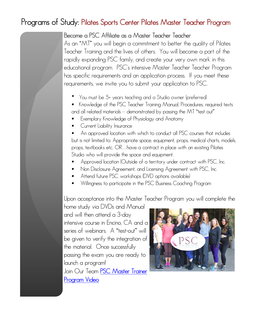### **Programs of Study: Pilates Sports Center Pilates Master Teacher Program**

Become a PSC Affiliate as a Master Teacher Teacher As an "MT" you will begin a commitment to better the quality of Pilates Teacher Training and the lives of others. You will become a part of the rapidly expanding PSC family, and create your very own mark in this educational program. PSC's intensive Master Teacher Teacher Program has specific requirements and an application process. If you meet these requirements, we invite you to submit your application to PSC.

- You must be 5+ years teaching and a Studio owner (preferred)
- Knowledge of the PSC Teacher Training Manual, Procedures, required texts and all related materials – demonstrated by passing the MT "test out"
- Exemplary Knowledge of Physiology and Anatomy
- Current Liability Insurance

• An approved location with which to conduct all PSC courses that includes but is not limited to: Appropriate space, equipment, props, medical charts, models, props, textbooks etc. OR…have a contract in place with an existing Pilates Studio who will provide the space and equipment.

- Approved location (Outside of a territory under contract with PSC, Inc.
- Non Disclosure Agreement, and Licensing Agreement with PSC, Inc.
- Attend future PSC workshops (DVD options available)
- Willingness to participate in the PSC Business Coaching Program

Upon acceptance into the Master Teacher Program you will complete the

home study via DVDs and Manual and will then attend a 3-day intensive course in Encino, CA and a series of webinars. A "test-out" will be given to verify the integration of the material. Once successfully passing the exam you are ready to launch a program! Join Our Team **[PSC Master Trainer](https://www.youtube.com/watch?v=-wu61yXbawA)  [Program Video](https://www.youtube.com/watch?v=-wu61yXbawA)**

![](_page_15_Picture_13.jpeg)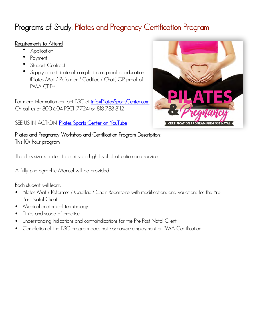# **Programs of Study: Pilates and Pregnancy Certification Program**

### **Requirements to Attend:**

- Application
- **Payment**
- Student Contract
- Supply a certificate of completion as proof of education (Pilates Mat / Reformer / Cadillac / Chair) OR proof of PMA CPT™

For more information contact PSC at **[info@PilatesSportsCenter.com](mailto:info@PilatesSportsCenter.com)** Or call us at 800-604-PSCI (7724) or 818-788-8112

### SEE US IN ACTION: **[Pilates Sports Center on YouTube](https://www.youtube.com/user/PilatesSportsCenter)**

![](_page_16_Picture_8.jpeg)

**Pilates and Pregnancy Workshop and Certification Program Description:** 

This 10+ hour program

The class size is limited to achieve a high level of attention and service.

A fully photographic Manual will be provided

Each student will learn:

- Pilates Mat / Reformer / Cadillac / Chair Repertoire with modifications and variations for the Pre Post Natal Client
- Medical anatomical terminology
- Ethics and scope of practice
- Understanding indications and contraindications for the Pre-Post Natal Client
- Completion of the PSC program does not *guarantee* employment or PMA Certification.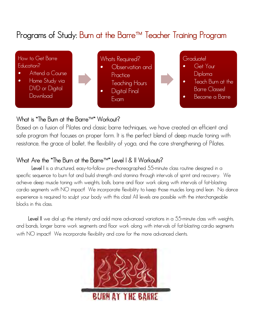# **Programs of Study: Burn at the Barre™ Teacher Training Program**

![](_page_17_Figure_1.jpeg)

### **What is "The Burn at the Barre™" Workout?**

Based on a fusion of Pilates and classic barre techniques, we have created an efficient and safe program that focuses on proper form. It is the perfect blend of deep muscle toning with resistance, the grace of ballet, the flexibility of yoga, and the core strengthening of Pilates.

### **What Are the "The Burn at the Barre™" Level I & II Workouts?**

**Level I** is a structured, easy-to-follow pre-choreographed 55-minute class routine designed in a specific sequence to burn fat and build strength and stamina through intervals of sprint and recovery. We achieve deep muscle toning with weights, balls, barre and floor work along with intervals of fat-blasting cardio segments with NO impact! We incorporate flexibility to keep those muscles long and lean. No dance experience is required to sculpt your body with this class! All levels are possible with the interchangeable blocks in this class.

 **Level II** we dial up the intensity and add more advanced variations in a 55-minute class with weights, and bands, longer barre work segments and floor work along with intervals of fat-blasting cardio segments with NO impact! We incorporate flexibility and core for the more advanced clients.

![](_page_17_Picture_7.jpeg)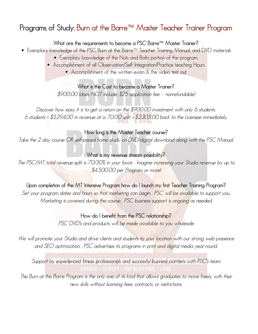## **Programs of Study: Burn at the Barre™ Master Teacher Trainer Program**

### **What are the requirements to become a PSC Barre™ Master Trainer?**

- Exemplary knowledge of the PSC Burn at the Barre™ Teacher Training Manual, and DVD materials
	- Exemplary knowledge of the Nuts and Bolts portion of the program.
	- Accomplishment of all Observation/Self Integration/Practice teaching Hours
		- Accomplishment of the written exam & the video test out

**What is the Cost to become a Master Trainer?**  *\$900.00 (does NOT include: \$25 application fee – nonrefundable)* 

*Discover how easy it is to get a return on the \$900.00 investment with only 6 students. 6 students = \$3,294.00 in revenue at a 70/30 split = \$2,305.00 back to the Licensee immediately.*

#### **How long is the Master Teacher course?**

*Take the 2 day course OR self-paced home study on DVD/digital download along with the PSC Manual.* 

#### **What is my revenue stream possibility?**

*The PSC/MT total revenue split is 70/30% in your favor. Imagine increasing your Studio revenue by up to \$4,500.00 per Program or more!*

**Upon completion of the MT Intensive Program how do I launch my first Teacher Training Program?**  Set your program dates and hours so that marketing can begin. PSC will be available to support you. *Marketing is covered during the course. PSC business support is ongoing as needed.* 

> **How do I benefit from the PSC relationship?**  *PSC DVD's and products will be made available to you wholesale*

*We will promote your Studio and drive clients and students to your location with our strong web presence and SEO optimization. PSC advertises its programs in print and digital media year-round.* 

*Support by experienced fitness professionals and successful business partners with PSC's team.* 

*The Burn at the Barre Program is the only one of its kind that allows graduates to move freely with their new skills without licensing fees, contracts, or restrictions.*